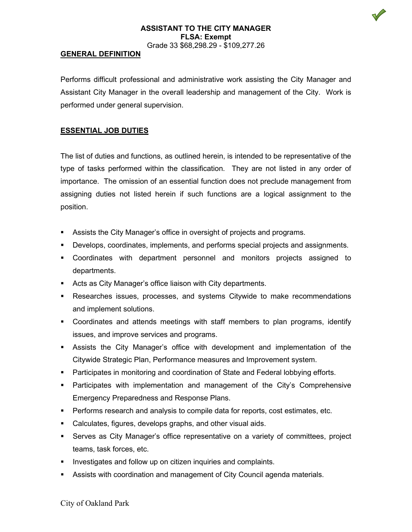### **ASSISTANT TO THE CITY MANAGER FLSA: Exempt** Grade 33 \$68,298.29 - \$109,277.26

#### **GENERAL DEFINITION**

Performs difficult professional and administrative work assisting the City Manager and Assistant City Manager in the overall leadership and management of the City. Work is performed under general supervision.

### **ESSENTIAL JOB DUTIES**

The list of duties and functions, as outlined herein, is intended to be representative of the type of tasks performed within the classification. They are not listed in any order of importance. The omission of an essential function does not preclude management from assigning duties not listed herein if such functions are a logical assignment to the position.

- Assists the City Manager's office in oversight of projects and programs.
- Develops, coordinates, implements, and performs special projects and assignments.
- Coordinates with department personnel and monitors projects assigned to departments.
- Acts as City Manager's office liaison with City departments.
- Researches issues, processes, and systems Citywide to make recommendations and implement solutions.
- Coordinates and attends meetings with staff members to plan programs, identify issues, and improve services and programs.
- Assists the City Manager's office with development and implementation of the Citywide Strategic Plan, Performance measures and Improvement system.
- **Participates in monitoring and coordination of State and Federal lobbying efforts.**
- Participates with implementation and management of the City's Comprehensive Emergency Preparedness and Response Plans.
- Performs research and analysis to compile data for reports, cost estimates, etc.
- Calculates, figures, develops graphs, and other visual aids.
- Serves as City Manager's office representative on a variety of committees, project teams, task forces, etc.
- **Investigates and follow up on citizen inquiries and complaints.**
- Assists with coordination and management of City Council agenda materials.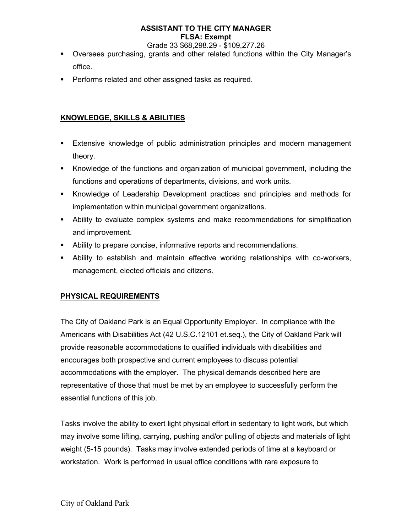# **ASSISTANT TO THE CITY MANAGER FLSA: Exempt**

Grade 33 \$68,298.29 - \$109,277.26

- Oversees purchasing, grants and other related functions within the City Manager's office.
- **Performs related and other assigned tasks as required.**

## **KNOWLEDGE, SKILLS & ABILITIES**

- Extensive knowledge of public administration principles and modern management theory.
- Knowledge of the functions and organization of municipal government, including the functions and operations of departments, divisions, and work units.
- Knowledge of Leadership Development practices and principles and methods for implementation within municipal government organizations.
- Ability to evaluate complex systems and make recommendations for simplification and improvement.
- Ability to prepare concise, informative reports and recommendations.
- Ability to establish and maintain effective working relationships with co-workers, management, elected officials and citizens.

## **PHYSICAL REQUIREMENTS**

The City of Oakland Park is an Equal Opportunity Employer. In compliance with the Americans with Disabilities Act (42 U.S.C.12101 et.seq.), the City of Oakland Park will provide reasonable accommodations to qualified individuals with disabilities and encourages both prospective and current employees to discuss potential accommodations with the employer. The physical demands described here are representative of those that must be met by an employee to successfully perform the essential functions of this job.

Tasks involve the ability to exert light physical effort in sedentary to light work, but which may involve some lifting, carrying, pushing and/or pulling of objects and materials of light weight (5-15 pounds). Tasks may involve extended periods of time at a keyboard or workstation. Work is performed in usual office conditions with rare exposure to